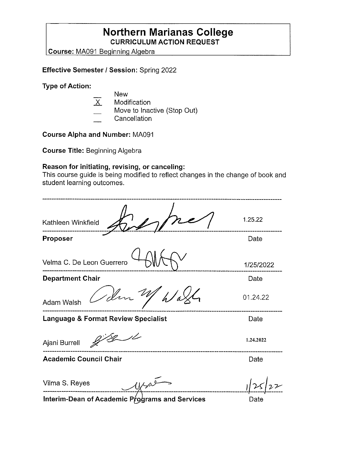## **Northern Marianas College CURRICULUM ACTION REQUEST**

**Course: MA091 Beginning Algebra** 

### **Effective Semester/ Session:** Spring 2022

**Type of Action:** 

|                    | <b>New</b>                            |
|--------------------|---------------------------------------|
| $\mathsf{X}% _{0}$ | Modification                          |
|                    | Move to Inactive (Stop Out)           |
|                    | $\bigcap$ and an additional $\bigcap$ |

Cancellation

**Course Alpha and Number:** MA091

**Course Title:** Beginning Algebra

### **Reason for initiating, revising, or canceling:**

This course guide is being modified to reflect changes in the change of book and student learning outcomes.

| Kathleen Winkfield                             | 1.25.22   |
|------------------------------------------------|-----------|
| Proposer                                       | Date      |
| Velma C. De Leon Guerrero                      | 1/25/2022 |
| <b>Department Chair</b>                        | Date      |
| 1 dm<br><b>Adam Walsh</b>                      | 01.24.22  |
| <b>Language &amp; Format Review Specialist</b> | Date      |
| Ajani Burrell                                  | 1.24.2022 |
| <b>Academic Council Chair</b>                  | Date      |
| Vilma S. Reyes                                 |           |
| Interim-Dean of Academic Proprame and Services | Doto      |

interim-Dean of Academic Programs and Services

Date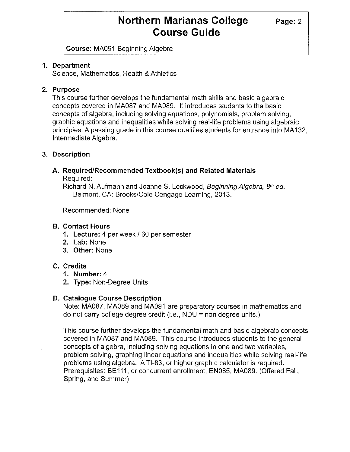**Course:** MA091 Beginning Algebra

#### **1. Department**

Science, Mathematics, Health & Athletics

### **2. Purpose**

This course further develops the fundamental math skills and basic algebraic concepts covered in MA087 and MA089. It introduces students to the basic concepts of algebra, including solving equations, polynomials, problem solving, graphic equations and inequalities while solving real-life problems using algebraic principles. A passing grade in this course qualifies students for entrance into MA132, Intermediate Algebra.

### **3. Description**

## **A. Required/Recommended Textbook(s) and Related Materials**

Required:

Richard N. Aufmann and Joanne S. Lockwood, Beginning Algebra, 8th ed. Belmont, CA: Brooks/Cole Cengage Learning, 2013.

Recommended: None

### **B. Contact Hours**

- **1. Lecture:** 4 per week/ 60 per semester
- **2. Lab:** None
- **3. Other:** None

### **C. Credits**

- **1. Number:** 4
- **2. Type:** Non-Degree Units

### **D. Catalogue Course Description**

Note: MA087, MA089 and MA091 are preparatory courses in mathematics and do not carry college degree credit (i.e., NDU = non degree units.)

This course further develops the fundamental math and basic algebraic concepts covered in MA087 and MA089. This course introduces students to the general concepts of algebra, including solving equations in one and two variables, problem solving, graphing linear equations and inequalities while solving real-life problems using algebra. A Tl-83, or higher graphic calculator is required. Prerequisites: BE111, or concurrent enrollment, EN085, MA089. (Offered Fall, Spring, and Summer)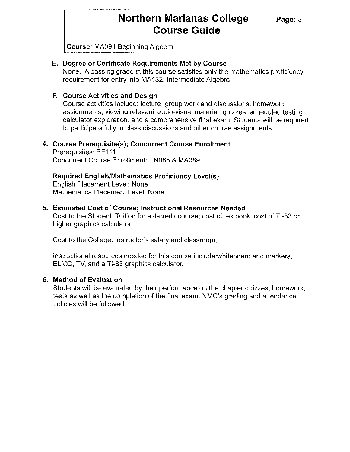**Course:** MA091 Beginning Algebra

#### **E. Degree or Certificate Requirements Met by Course**

None. A passing grade in this course satisfies only the mathematics proficiency requirement for entry into MA 132, Intermediate Algebra.

#### **F. Course Activities and Design**

Course activities include: lecture, group work and discussions, homework assignments, viewing relevant audio-visual material, quizzes, scheduled testing, calculator exploration, and a comprehensive final exam. Students will be required to participate fully in class discussions and other course assignments.

#### **4. Course Prerequisite(s); Concurrent Course Enrollment**

Prerequisites: BE111 Concurrent Course Enrollment: EN085 & MA089

### **Required English/Mathematics Proficiency Level(s)**

English Placement Level: None Mathematics Placement Level: None

#### **5. Estimated Cost of Course; Instructional Resources Needed**

Cost to the Student: Tuition for a 4-credit course; cost of textbook; cost of Tl-83 or higher graphics calculator.

Cost to the College: Instructor's salary and classroom.

Instructional resources needed for this course include:whiteboard and markers, ELMO, TV, and a Tl-83 graphics calculator.

#### **6. Method of Evaluation**

Students will be evaluated by their performance on the chapter quizzes, homework, tests as well as the completion of the final exam. NMC's grading and attendance policies will be followed.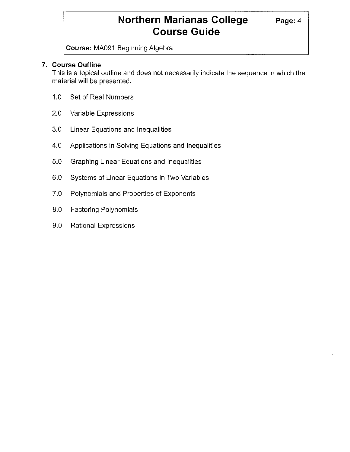**Course:** MA091 Beginning Algebra

#### **7. Course Outline**

This is a topical outline and does not necessarily indicate the sequence in which the material will be presented.

- 1.0 Set of Real Numbers
- 2.0 Variable Expressions
- 3.0 Linear Equations and Inequalities
- 4.0 Applications in Solving Equations and Inequalities
- 5.0 Graphing Linear Equations and Inequalities
- 6.0 Systems of Linear Equations in Two Variables
- 7.0 Polynomials and Properties of Exponents
- 8.0 Factoring Polynomials
- 9.0 Rational Expressions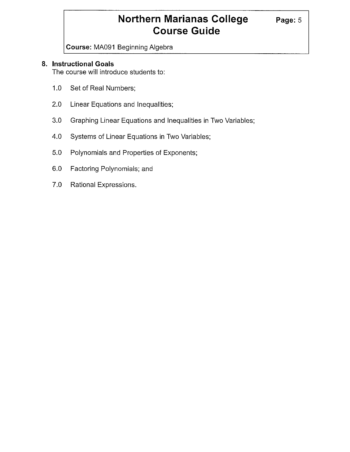**Course:** MA091 Beginning Algebra

#### **8. Instructional Goals**

The course will introduce students to:

- 1.0 Set of Real Numbers;
- 2.0 Linear Equations and Inequalities;
- 3.0 Graphing Linear Equations and Inequalities in Two Variables;
- 4.0 Systems of Linear Equations in Two Variables;
- 5.0 Polynomials and Properties of Exponents;
- 6.0 Factoring Polynomials; and
- 7.0 Rational Expressions.